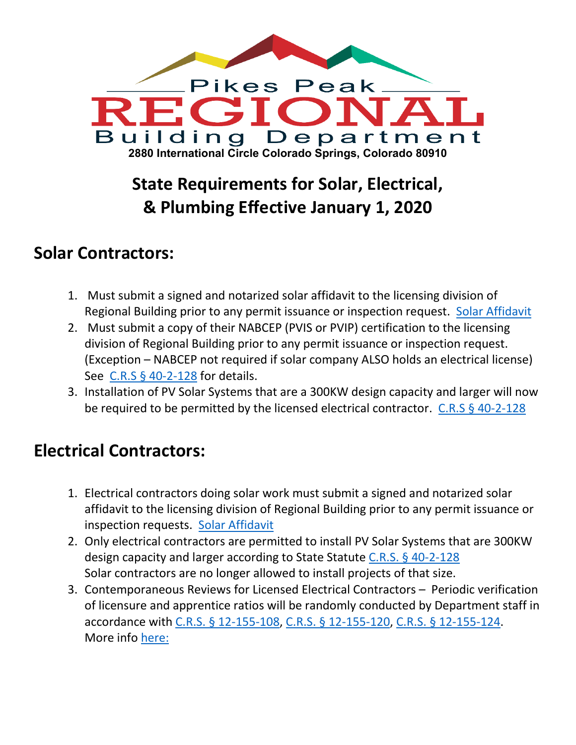

## **State Requirements for Solar, Electrical, & Plumbing Effective January 1, 2020**

## **Solar Contractors:**

- 1. Must submit a signed and notarized solar affidavit to the licensing division of Regional Building prior to any permit issuance or inspection request. [Solar Affidavit](https://www.pprbd.org/Downloads/License/Solar%20Affidavit.pdf)
- 2. Must submit a copy of their NABCEP (PVIS or PVIP) certification to the licensing division of Regional Building prior to any permit issuance or inspection request. (Exception – NABCEP not required if solar company ALSO holds an electrical license) See C.R.S § [40-2-128](https://www.pprbd.org/Downloads/License/CRS%2040-2-128%20Solar%20Photovoltaic%20installations.pdf) for details.
- 3. Installation of PV Solar Systems that are a 300KW design capacity and larger will now be required to be permitted by the licensed electrical contractor. [C.R.S § 40-2-128](https://www.pprbd.org/Downloads/License/CRS%2040-2-128%20Solar%20Photovoltaic%20installations.pdf)

## **Electrical Contractors:**

- 1. Electrical contractors doing solar work must submit a signed and notarized solar affidavit to the licensing division of Regional Building prior to any permit issuance or inspection requests. [Solar Affidavit](https://www.pprbd.org/Downloads/License/Solar%20Affidavit.pdf)
- 2. Only electrical contractors are permitted to install PV Solar Systems that are 300KW design capacity and larger according to State Statute C.R.S. [§ 40-2-128](https://www.pprbd.org/Downloads/License/CRS%2040-2-128%20Solar%20Photovoltaic%20installations.pdf) Solar contractors are no longer allowed to install projects of that size.
- 3. Contemporaneous Reviews for Licensed Electrical Contractors Periodic verification of licensure and apprentice ratios will be randomly conducted by Department staff in accordance with [C.R.S. § 12-155-108,](https://advance.lexis.com/documentpage/?pdmfid=1000516&crid=a339d94d-5039-40d9-ac70-354243238979&config=014FJAAyNGJkY2Y4Zi1mNjgyLTRkN2YtYmE4OS03NTYzNzYzOTg0OGEKAFBvZENhdGFsb2d592qv2Kywlf8caKqYROP5&pddocfullpath=%2Fshared%2Fdocument%2Fstatutes-legislation%2Furn%3AcontentItem%3A5X45-0DC1-FGY5-M47P-00008-00&pddocid=urn%3AcontentItem%3A5X45-0DC1-FGY5-M47P-00008-00&pdcontentcomponentid=234176&pdteaserkey=sr0&pditab=allpods&ecomp=h567kkk&earg=sr0&prid=95750a6a-aea4-42d3-bfa3-0ff155dfb2e1) [C.R.S. § 12-155-120,](https://advance.lexis.com/documentpage/?pdmfid=1000516&crid=37965341-3029-4a44-827e-1fbeb31d1c52&config=014FJAAyNGJkY2Y4Zi1mNjgyLTRkN2YtYmE4OS03NTYzNzYzOTg0OGEKAFBvZENhdGFsb2d592qv2Kywlf8caKqYROP5&pddocfullpath=%2Fshared%2Fdocument%2Fstatutes-legislation%2Furn%3AcontentItem%3A5X45-0DD1-FGY5-M018-00008-00&pddocid=urn%3AcontentItem%3A5X45-0DD1-FGY5-M018-00008-00&pdcontentcomponentid=234176&pdteaserkey=sr0&pditab=allpods&ecomp=h567kkk&earg=sr0&prid=1f9bfa51-ffe1-4510-ae99-d8a0d7d650e0) [C.R.S. § 12-155-124.](https://advance.lexis.com/documentpage/?pdmfid=1000516&crid=ccd58ccb-c275-45e9-af5f-13b4dca9903c&config=014FJAAyNGJkY2Y4Zi1mNjgyLTRkN2YtYmE4OS03NTYzNzYzOTg0OGEKAFBvZENhdGFsb2d592qv2Kywlf8caKqYROP5&pddocfullpath=%2Fshared%2Fdocument%2Fstatutes-legislation%2Furn%3AcontentItem%3A5X45-0DJ1-F956-S4VR-00008-00&pddocid=urn%3AcontentItem%3A5X45-0DJ1-F956-S4VR-00008-00&pdcontentcomponentid=234176&pdteaserkey=sr0&pditab=allpods&ecomp=h567kkk&earg=sr0&prid=6c08cd18-495d-439a-a071-e103a55ad6d7) More info [here:](https://www.pprbd.org/Downloads/ResidentialHandout/Contemporaneous%20review%20procedure%20res%20elec.pdf)